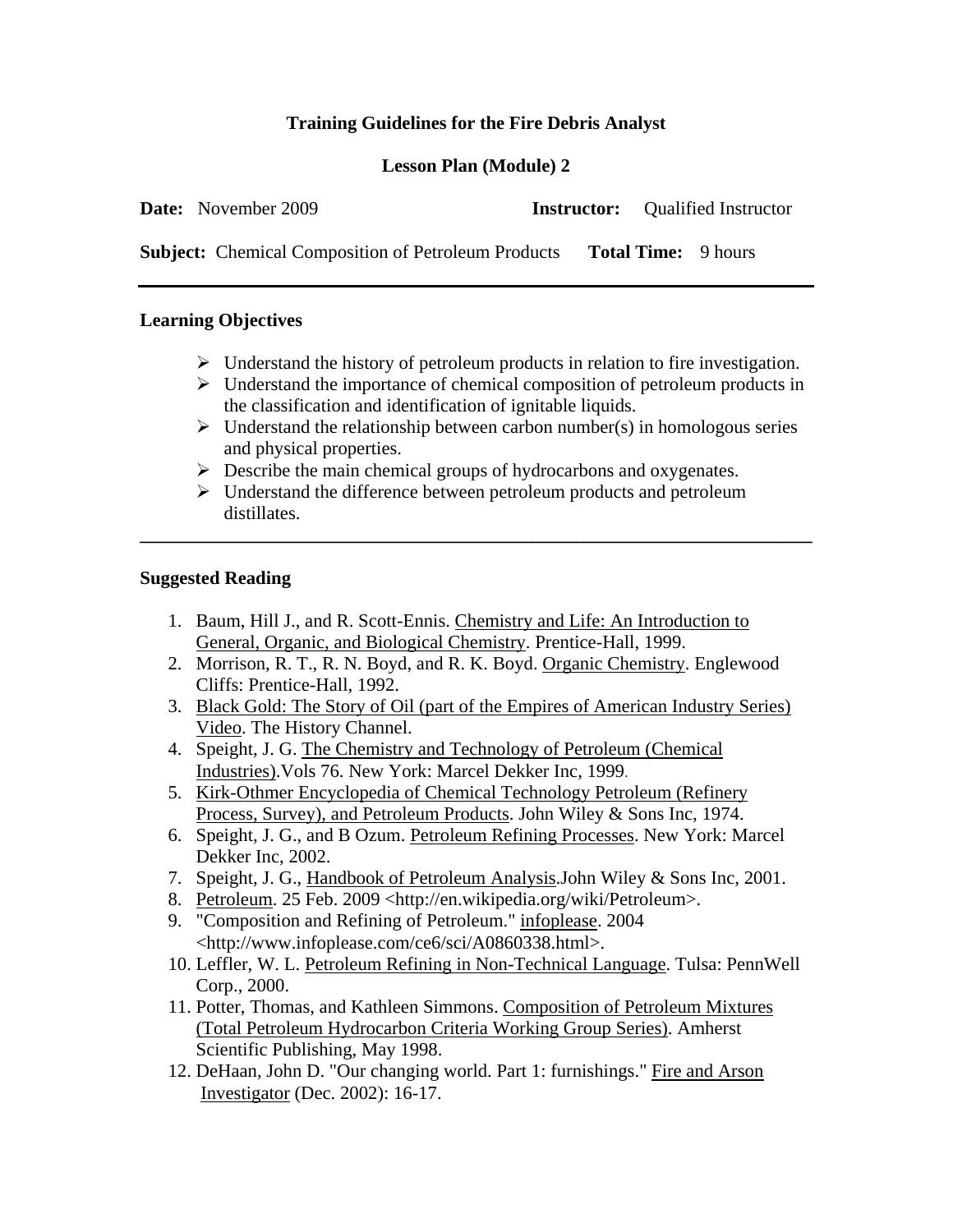# **Training Guidelines for the Fire Debris Analyst**

## **Lesson Plan (Module) 2**

| <b>Date:</b> November 2009                                 | <b>Instructor:</b> Oualified Instructor |  |
|------------------------------------------------------------|-----------------------------------------|--|
| <b>Subject:</b> Chemical Composition of Petroleum Products | <b>Total Time:</b> 9 hours              |  |

#### **Learning Objectives**

- $\triangleright$  Understand the history of petroleum products in relation to fire investigation.
- $\triangleright$  Understand the importance of chemical composition of petroleum products in the classification and identification of ignitable liquids.
- $\triangleright$  Understand the relationship between carbon number(s) in homologous series and physical properties.
- $\triangleright$  Describe the main chemical groups of hydrocarbons and oxygenates.
- $\triangleright$  Understand the difference between petroleum products and petroleum distillates.

**\_\_\_\_\_\_\_\_\_\_\_\_\_\_\_\_\_\_\_\_\_\_\_\_\_\_\_\_\_\_\_\_\_\_\_\_\_\_\_\_\_\_\_\_\_\_\_\_\_\_\_\_\_\_\_\_\_\_\_\_\_\_\_\_\_\_\_\_\_\_\_\_** 

#### **Suggested Reading**

- 1. Baum, Hill J., and R. Scott-Ennis. Chemistry and Life: An Introduction to General, Organic, and Biological Chemistry. Prentice-Hall, 1999.
- 2. Morrison, R. T., R. N. Boyd, and R. K. Boyd. Organic Chemistry. Englewood Cliffs: Prentice-Hall, 1992.
- 3. Black Gold: The Story of Oil (part of the Empires of American Industry Series) Video. The History Channel.
- 4. Speight, J. G. The Chemistry and Technology of Petroleum (Chemical Industries).Vols 76. New York: Marcel Dekker Inc, 1999.
- 5. Kirk-Othmer Encyclopedia of Chemical Technology Petroleum (Refinery Process, Survey), and Petroleum Products. John Wiley & Sons Inc, 1974.
- 6. Speight, J. G., and B Ozum. Petroleum Refining Processes. New York: Marcel Dekker Inc, 2002.
- 7. Speight, J. G., Handbook of Petroleum Analysis.John Wiley & Sons Inc, 2001.
- 8. Petroleum. 25 Feb. 2009 <http://en.wikipedia.org/wiki/Petroleum>.
- 9. "Composition and Refining of Petroleum." infoplease. 2004 <http://www.infoplease.com/ce6/sci/A0860338.html>.
- 10. Leffler, W. L. Petroleum Refining in Non-Technical Language. Tulsa: PennWell Corp., 2000.
- 11. Potter, Thomas, and Kathleen Simmons. Composition of Petroleum Mixtures (Total Petroleum Hydrocarbon Criteria Working Group Series). Amherst Scientific Publishing, May 1998.
- 12. DeHaan, John D. "Our changing world. Part 1: furnishings." Fire and Arson Investigator (Dec. 2002): 16-17.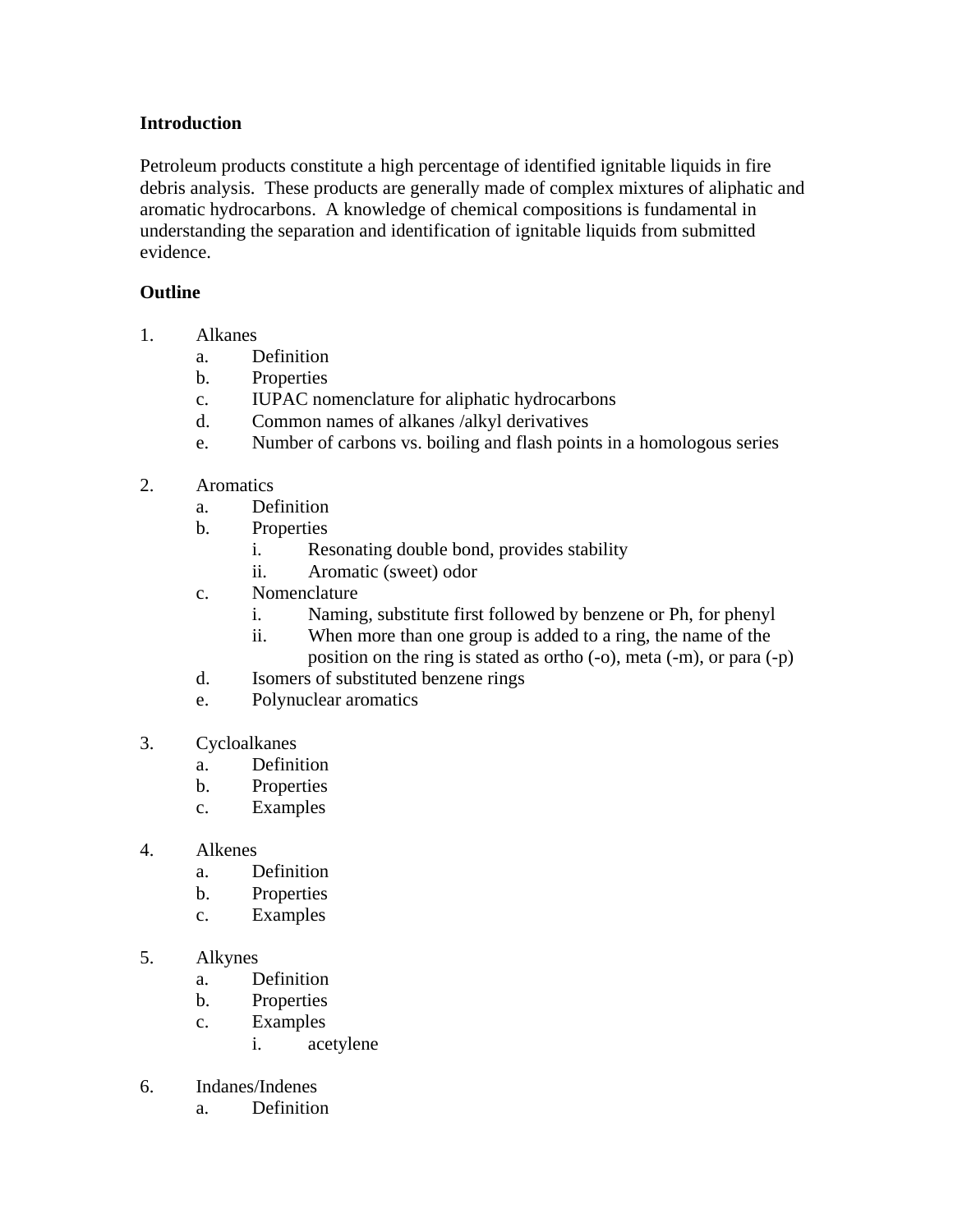## **Introduction**

Petroleum products constitute a high percentage of identified ignitable liquids in fire debris analysis. These products are generally made of complex mixtures of aliphatic and aromatic hydrocarbons. A knowledge of chemical compositions is fundamental in understanding the separation and identification of ignitable liquids from submitted evidence.

## **Outline**

- 1. Alkanes
	- a. Definition
	- b. Properties
	- c. IUPAC nomenclature for aliphatic hydrocarbons
	- d. Common names of alkanes /alkyl derivatives
	- e. Number of carbons vs. boiling and flash points in a homologous series
- 2. Aromatics
	- a. Definition
	- b. Properties
		- i. Resonating double bond, provides stability
		- ii. Aromatic (sweet) odor
	- c. Nomenclature
		- i. Naming, substitute first followed by benzene or Ph, for phenyl
		- ii. When more than one group is added to a ring, the name of the
			- position on the ring is stated as ortho (-o), meta (-m), or para (-p)
	- d. Isomers of substituted benzene rings
	- e. Polynuclear aromatics
- 3. Cycloalkanes
	- a. Definition
	- b. Properties
	- c. Examples
- 4. Alkenes
	- a. Definition
	- b. Properties
	- c. Examples
- 5. Alkynes
	- a. Definition
	- b. Properties
	- c. Examples
		- i. acetylene
- 6. Indanes/Indenes
	- a. Definition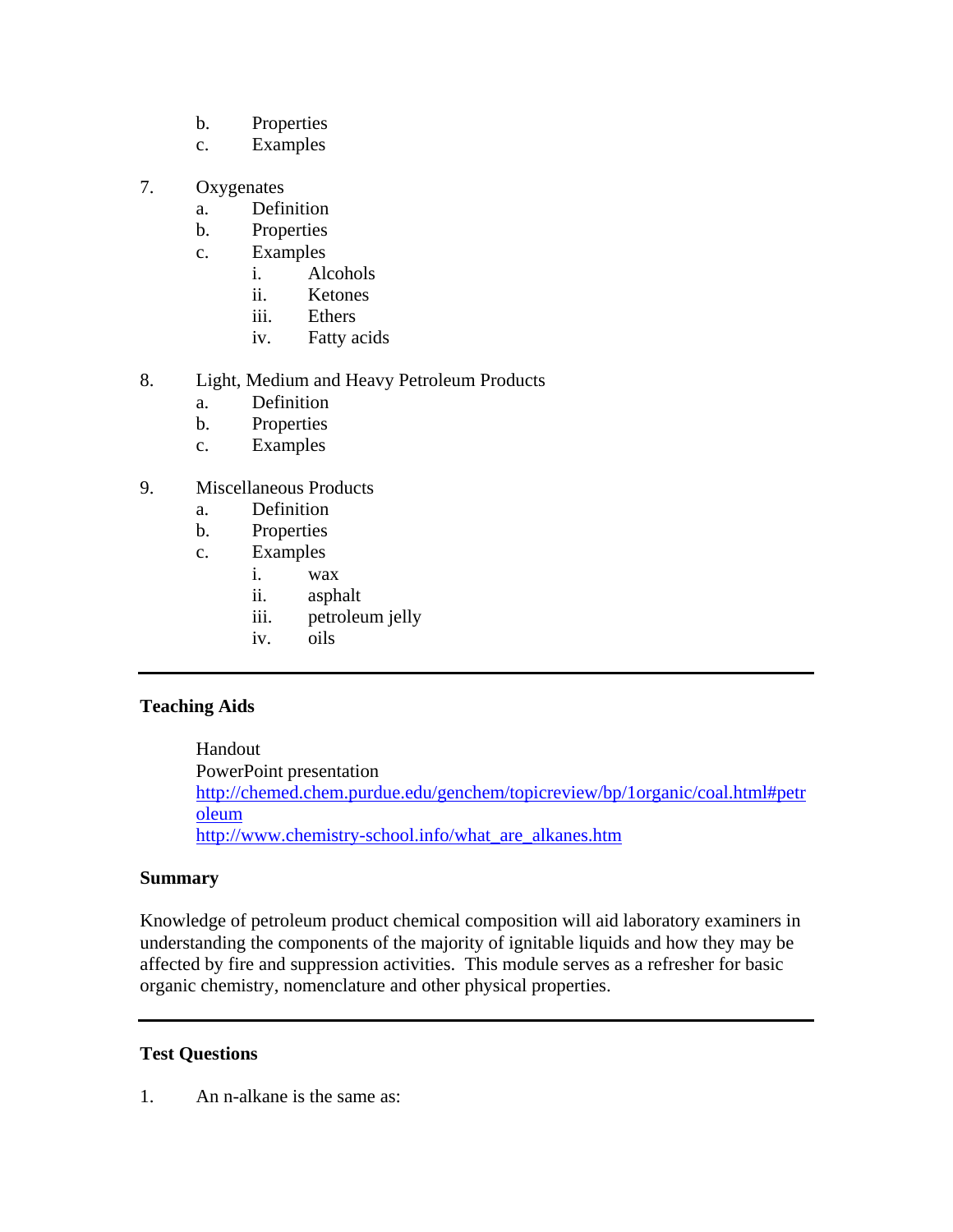- b. Properties
- c. Examples
- 7. Oxygenates
	- a. Definition
	- b. Properties
	- c. Examples
		- i. Alcohols
		- ii. Ketones
		- iii. Ethers
		- iv. Fatty acids
- 8. Light, Medium and Heavy Petroleum Products
	- a. Definition
	- b. Properties
	- c. Examples
- 9. Miscellaneous Products
	- a. Definition
	- b. Properties
	- c. Examples
		- i. wax
		- ii. asphalt
		- iii. petroleum jelly
		- iv. oils

### **Teaching Aids**

 Handout PowerPoint presentation http://chemed.chem.purdue.edu/genchem/topicreview/bp/1organic/coal.html#petr oleum http://www.chemistry-school.info/what\_are\_alkanes.htm

### **Summary**

Knowledge of petroleum product chemical composition will aid laboratory examiners in understanding the components of the majority of ignitable liquids and how they may be affected by fire and suppression activities. This module serves as a refresher for basic organic chemistry, nomenclature and other physical properties.

## **Test Questions**

1. An n-alkane is the same as: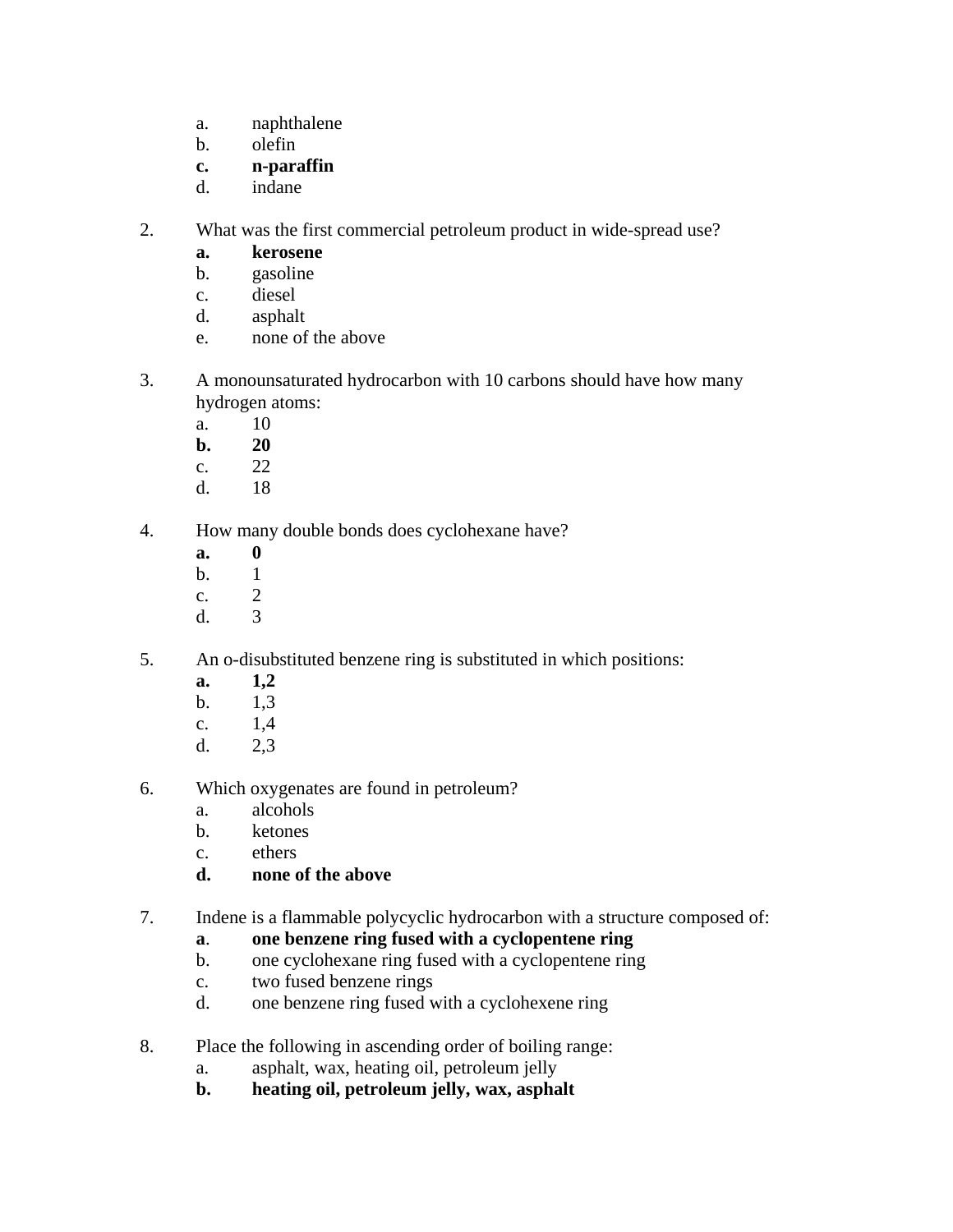- a. naphthalene
- b. olefin
- **c. n-paraffin**
- d. indane
- 2. What was the first commercial petroleum product in wide-spread use?
	- **a. kerosene**
	- b. gasoline
	- c. diesel
	- d. asphalt
	- e. none of the above
- 3. A monounsaturated hydrocarbon with 10 carbons should have how many hydrogen atoms:
	- a. 10
	- **b. 20**
	- c. 22
	- d. 18
- 4. How many double bonds does cyclohexane have?
	- **a. 0**
	- b. 1
	- c. 2
	- d. 3
- 5. An o-disubstituted benzene ring is substituted in which positions:
	- **a. 1,2**
	- b. 1,3
	- c. 1,4
	- d. 2,3
- 6. Which oxygenates are found in petroleum?
	- a. alcohols
	- b. ketones
	- c. ethers
	- **d. none of the above**
- 7. Indene is a flammable polycyclic hydrocarbon with a structure composed of:
	- **a**. **one benzene ring fused with a cyclopentene ring**
	- b. one cyclohexane ring fused with a cyclopentene ring
	- c. two fused benzene rings
	- d. one benzene ring fused with a cyclohexene ring
- 8. Place the following in ascending order of boiling range:
	- a. asphalt, wax, heating oil, petroleum jelly
	- **b. heating oil, petroleum jelly, wax, asphalt**